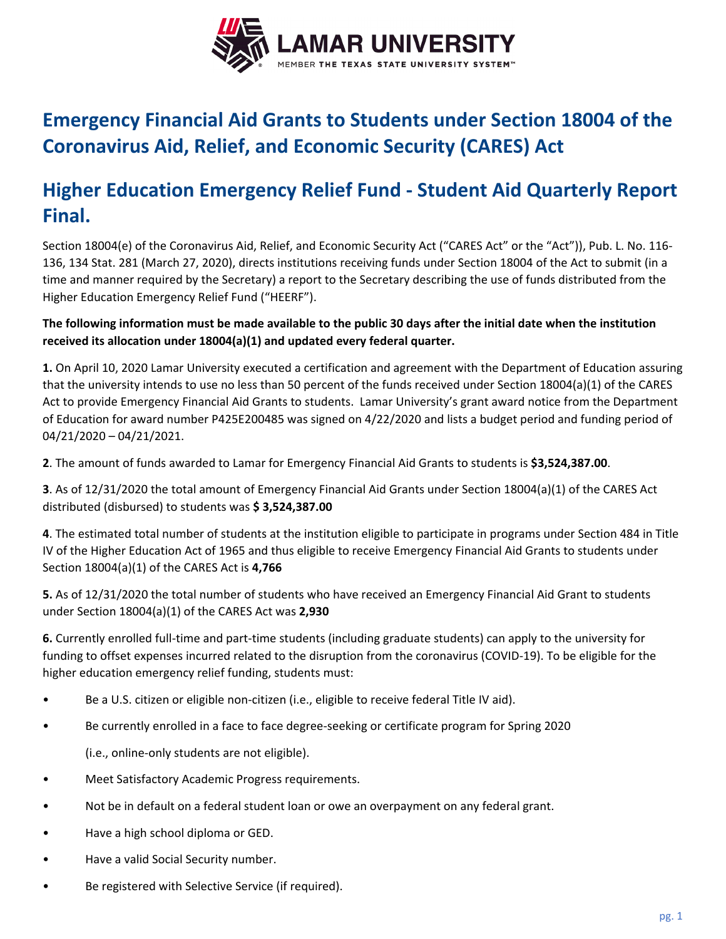

## **Emergency Financial Aid Grants to Students under Section 18004 of the Coronavirus Aid, Relief, and Economic Security (CARES) Act**

## **Higher Education Emergency Relief Fund ‐ Student Aid Quarterly Report Final.**

Section 18004(e) of the Coronavirus Aid, Relief, and Economic Security Act ("CARES Act" or the "Act")), Pub. L. No. 116‐ 136, 134 Stat. 281 (March 27, 2020), directs institutions receiving funds under Section 18004 of the Act to submit (in a time and manner required by the Secretary) a report to the Secretary describing the use of funds distributed from the Higher Education Emergency Relief Fund ("HEERF").

## The following information must be made available to the public 30 days after the initial date when the institution **received its allocation under 18004(a)(1) and updated every federal quarter.**

**1.** On April 10, 2020 Lamar University executed a certification and agreement with the Department of Education assuring that the university intends to use no less than 50 percent of the funds received under Section 18004(a)(1) of the CARES Act to provide Emergency Financial Aid Grants to students. Lamar University's grant award notice from the Department of Education for award number P425E200485 was signed on 4/22/2020 and lists a budget period and funding period of 04/21/2020 – 04/21/2021.

**2**. The amount of funds awarded to Lamar for Emergency Financial Aid Grants to students is **\$3,524,387.00**.

**3**. As of 12/31/2020 the total amount of Emergency Financial Aid Grants under Section 18004(a)(1) of the CARES Act distributed (disbursed) to students was **\$ 3,524,387.00**

**4**. The estimated total number of students at the institution eligible to participate in programs under Section 484 in Title IV of the Higher Education Act of 1965 and thus eligible to receive Emergency Financial Aid Grants to students under Section 18004(a)(1) of the CARES Act is **4,766**

**5.** As of 12/31/2020 the total number of students who have received an Emergency Financial Aid Grant to students under Section 18004(a)(1) of the CARES Act was **2,930**

**6.** Currently enrolled full‐time and part‐time students (including graduate students) can apply to the university for funding to offset expenses incurred related to the disruption from the coronavirus (COVID‐19). To be eligible for the higher education emergency relief funding, students must:

- Be a U.S. citizen or eligible non-citizen (i.e., eligible to receive federal Title IV aid).
- Be currently enrolled in a face to face degree‐seeking or certificate program for Spring 2020

(i.e., online‐only students are not eligible).  

- Meet Satisfactory Academic Progress requirements.
- Not be in default on a federal student loan or owe an overpayment on any federal grant.
- Have a high school diploma or GED.
- Have a valid Social Security number.
- Be registered with Selective Service (if required).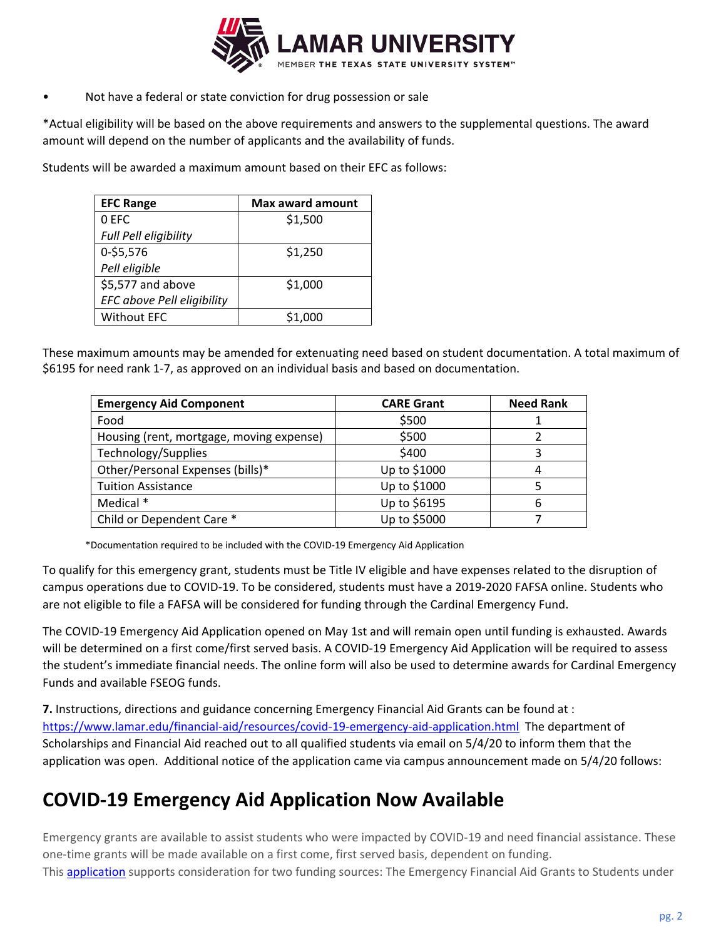

Not have a federal or state conviction for drug possession or sale

\*Actual eligibility will be based on the above requirements and answers to the supplemental questions. The award amount will depend on the number of applicants and the availability of funds.

Students will be awarded a maximum amount based on their EFC as follows:

| <b>EFC Range</b>           | Max award amount |
|----------------------------|------------------|
| 0 EFC                      | \$1,500          |
| Full Pell eligibility      |                  |
| 0-\$5,576                  | \$1,250          |
| Pell eligible              |                  |
| \$5,577 and above          | \$1,000          |
| EFC above Pell eligibility |                  |
| <b>Without EFC</b>         | \$1,000          |

These maximum amounts may be amended for extenuating need based on student documentation. A total maximum of \$6195 for need rank 1‐7, as approved on an individual basis and based on documentation.

| <b>Emergency Aid Component</b>           | <b>CARE Grant</b> | <b>Need Rank</b> |
|------------------------------------------|-------------------|------------------|
| Food                                     | \$500             |                  |
| Housing (rent, mortgage, moving expense) | \$500             |                  |
| Technology/Supplies                      | \$400             | 3                |
| Other/Personal Expenses (bills)*         | Up to \$1000      | 4                |
| <b>Tuition Assistance</b>                | Up to \$1000      | 5                |
| Medical *                                | Up to \$6195      | 6                |
| Child or Dependent Care *                | Up to \$5000      |                  |

\*Documentation required to be included with the COVID‐19 Emergency Aid Application

To qualify for this emergency grant, students must be Title IV eligible and have expenses related to the disruption of campus operations due to COVID‐19. To be considered, students must have a 2019‐2020 FAFSA online. Students who are not eligible to file a FAFSA will be considered for funding through the Cardinal Emergency Fund.

The COVID‐19 Emergency Aid Application opened on May 1st and will remain open until funding is exhausted. Awards will be determined on a first come/first served basis. A COVID-19 Emergency Aid Application will be required to assess the student's immediate financial needs. The online form will also be used to determine awards for Cardinal Emergency Funds and available FSEOG funds.

**7.** Instructions, directions and guidance concerning Emergency Financial Aid Grants can be found at : https://www.lamar.edu/financial‐aid/resources/covid‐19‐emergency‐aid‐application.html The department of Scholarships and Financial Aid reached out to all qualified students via email on 5/4/20 to inform them that the application was open. Additional notice of the application came via campus announcement made on 5/4/20 follows:

## **COVID‐19 Emergency Aid Application Now Available**

Emergency grants are available to assist students who were impacted by COVID‐19 and need financial assistance. These one‐time grants will be made available on a first come, first served basis, dependent on funding. This **application** supports consideration for two funding sources: The Emergency Financial Aid Grants to Students under